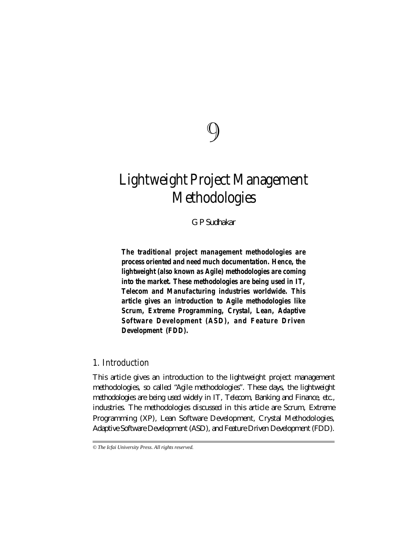# 9

# **Lightweight Project Management Methodologies**

*G P Sudhakar*

*The traditional project management methodologies are process oriented and need much documentation. Hence, the lightweight (also known as Agile) methodologies are coming into the market. These methodologies are being used in IT, Telecom and Manufacturing industries worldwide. This article gives an introduction to Agile methodologies like Scrum, Extreme Programming, Crystal, Lean, Adaptive Software Development (ASD), and Feature Driven Development (FDD).*

# **1. Introduction**

This article gives an introduction to the lightweight project management methodologies, so called "*Agile* methodologies". These days, the lightweight methodologies are being used widely in IT, Telecom, Banking and Finance, etc., industries. The methodologies discussed in this article are Scrum, Extreme Programming (XP), Lean Software Development, Crystal Methodologies, Adaptive Software Development (ASD), and Feature Driven Development (FDD).

*<sup>©</sup> The Icfai University Press. All rights reserved.*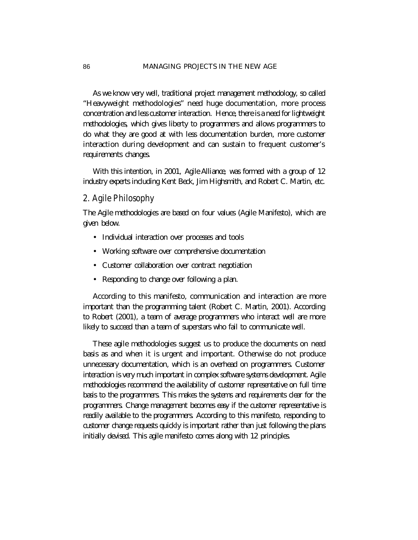As we know very well, traditional project management methodology, so called "Heavyweight methodologies" need huge documentation, more process concentration and less customer interaction. Hence, there is a need for lightweight methodologies, which gives liberty to programmers and allows programmers to do what they are good at with less documentation burden, more customer interaction during development and can sustain to frequent customer's requirements changes.

With this intention, in 2001, *Agile Alliance,* was formed with a group of 12 industry experts including Kent Beck, Jim Highsmith, and Robert C. Martin, etc.

# **2. Agile Philosophy**

The *Agile* methodologies are based on four values (Agile Manifesto), which are given below.

- Individual interaction over processes and tools
- Working software over comprehensive documentation
- Customer collaboration over contract negotiation
- Responding to change over following a plan.

According to this manifesto, communication and interaction are more important than the programming talent (Robert C. Martin, 2001). According to Robert (2001), a team of average programmers who interact well are more likely to succeed than a team of superstars who fail to communicate well.

These agile methodologies suggest us to produce the documents on need basis as and when it is urgent and important. Otherwise do not produce unnecessary documentation, which is an overhead on programmers. Customer interaction is very much important in complex software systems development. Agile methodologies recommend the availability of customer representative on full time basis to the programmers. This makes the systems and requirements clear for the programmers. Change management becomes easy if the customer representative is readily available to the programmers. According to this manifesto, responding to customer change requests quickly is important rather than just following the plans initially devised. This agile manifesto comes along with 12 principles.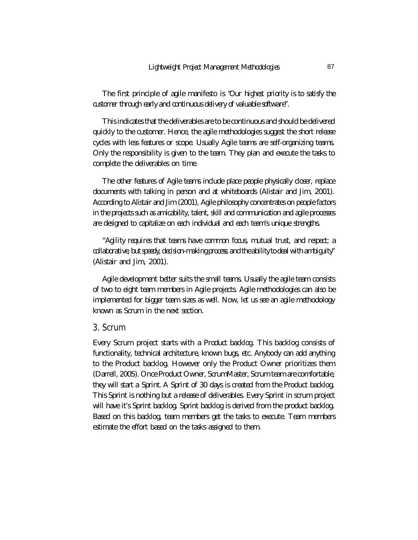The first principle of agile manifesto is "*Our highest priority is to satisfy the customer through early and continuous delivery of valuable software*".

This indicates that the deliverables are to be continuous and should be delivered quickly to the customer. Hence, the agile methodologies suggest the short release cycles with less features or scope. Usually Agile teams are self-organizing teams. Only the responsibility is given to the team. They plan and execute the tasks to complete the deliverables on time.

The other features of Agile teams include place people physically closer, replace documents with talking in person and at whiteboards (Alistair and Jim, 2001). According to Alistair and Jim (2001), Agile philosophy concentrates on people factors in the projects such as amicability, talent, skill and communication and agile processes are designed to capitalize on each individual and each team's unique strengths.

"*Agility requires that teams have common focus, mutual trust, and respect; a collaborative, but speedy, decision-making process; and the ability to deal with ambiguity*" (Alistair and Jim, 2001).

Agile development better suits the small teams. Usually the agile team consists of two to eight team members in Agile projects. Agile methodologies can also be implemented for bigger team sizes as well. Now, let us see an agile methodology known as Scrum in the next section.

# **3. Scrum**

Every Scrum project starts with a *Product backlog*. This backlog consists of functionality, technical architecture, known bugs, etc. Anybody can add anything to the Product backlog. However only the Product Owner prioritizes them (Darrell, 2005). Once Product Owner, ScrumMaster, Scrum team are comfortable, they will start a *Sprint*. A *Sprint* of 30 days is created from the Product backlog. This Sprint is nothing but a release of deliverables. Every Sprint in scrum project will have it's Sprint backlog. Sprint backlog is derived from the product backlog. Based on this backlog, team members get the tasks to execute. Team members estimate the effort based on the tasks assigned to them.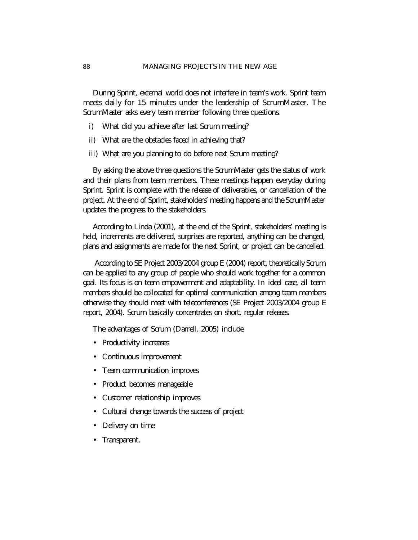During Sprint, external world does not interfere in team's work. Sprint team meets daily for 15 minutes under the leadership of ScrumMaster. The ScrumMaster asks every team member following three questions.

- i) What did you achieve after last Scrum meeting?
- ii) What are the obstacles faced in achieving that?
- iii) What are you planning to do before next Scrum meeting?

By asking the above three questions the ScrumMaster gets the status of work and their plans from team members. These meetings happen everyday during Sprint. *Sprint* is complete with the release of deliverables, or cancellation of the project. At the end of Sprint, stakeholders' meeting happens and the ScrumMaster updates the progress to the stakeholders.

According to Linda (2001), at the end of the Sprint, stakeholders' meeting is held, increments are delivered, surprises are reported, anything can be changed, plans and assignments are made for the next Sprint, or project can be cancelled.

 According to SE Project 2003/2004 group E (2004) report, theoretically Scrum can be applied to any group of people who should work together for a common goal. Its focus is on team empowerment and adaptability. In ideal case, all team members should be collocated for optimal communication among team members otherwise they should meet with teleconferences (SE Project 2003/2004 group E report, 2004). Scrum basically concentrates on short, regular releases.

The advantages of Scrum (Darrell, 2005) include

- Productivity increases
- Continuous improvement
- Team communication improves
- Product becomes manageable
- Customer relationship improves
- Cultural change towards the success of project
- Delivery on time
- Transparent.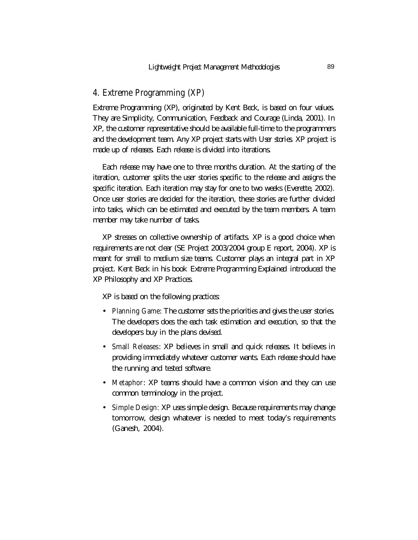#### **4. Extreme Programming (XP)**

Extreme Programming (XP), originated by Kent Beck, is based on four values. They are Simplicity, Communication, Feedback and Courage (Linda, 2001). In XP, the customer representative should be available full-time to the programmers and the development team. Any XP project starts with *User stories*. XP project is made up of releases. Each release is divided into iterations.

Each release may have one to three months duration. At the starting of the iteration, customer splits the user stories specific to the release and assigns the specific iteration. Each iteration may stay for one to two weeks (Everette, 2002). Once user stories are decided for the iteration, these stories are further divided into tasks, which can be estimated and executed by the team members. A team member may take number of tasks.

XP stresses on collective ownership of artifacts. XP is a good choice when requirements are not clear (SE Project 2003/2004 group E report, 2004). XP is meant for small to medium size teams. Customer plays an integral part in XP project. Kent Beck in his book *Extreme Programming Explained* introduced the XP Philosophy and XP Practices.

XP is based on the following practices:

- **Planning Game**: The customer sets the priorities and gives the user stories. The developers does the each task estimation and execution, so that the developers buy in the plans devised.
- **Small Releases**: XP believes in small and quick releases. It believes in providing immediately whatever customer wants. Each release should have the running and tested software.
- **Metaphor**: XP teams should have a common vision and they can use common terminology in the project.
- **Simple Design:** XP uses simple design. Because requirements may change tomorrow, design whatever is needed to meet today's requirements (Ganesh, 2004).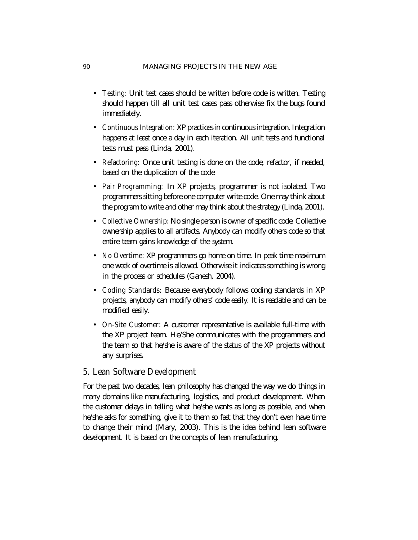- **Testing:** Unit test cases should be written before code is written. Testing should happen till all unit test cases pass otherwise fix the bugs found immediately.
- **Continuous Integration:** XP practices in continuous integration. Integration happens at least once a day in each iteration. All unit tests and functional tests must pass (Linda, 2001).
- **Refactoring:** Once unit testing is done on the code, refactor, if needed, based on the duplication of the code**.**
- **Pair Programming:** In XP projects, programmer is not isolated. Two programmers sitting before one computer write code. One may think about the program to write and other may think about the strategy (Linda, 2001).
- **Collective Ownership:** No single person is owner of specific code. Collective ownership applies to all artifacts. Anybody can modify others code so that entire team gains knowledge of the system.
- **No Overtime**: XP programmers go home on time. In peak time maximum one week of overtime is allowed. Otherwise it indicates something is wrong in the process or schedules (Ganesh, 2004).
- **Coding Standards:** Because everybody follows coding standards in XP projects, anybody can modify others' code easily. It is readable and can be modified easily.
- **On-Site Customer**: A customer representative is available full-time with the XP project team. He/She communicates with the programmers and the team so that he/she is aware of the status of the XP projects without any surprises.

#### **5. Lean Software Development**

For the past two decades, lean philosophy has changed the way we do things in many domains like manufacturing, logistics, and product development. When the customer delays in telling what he/she wants as long as possible, and when he/she asks for something, give it to them so fast that they don't even have time to change their mind (Mary, 2003). This is the idea behind lean software development. It is based on the concepts of lean manufacturing.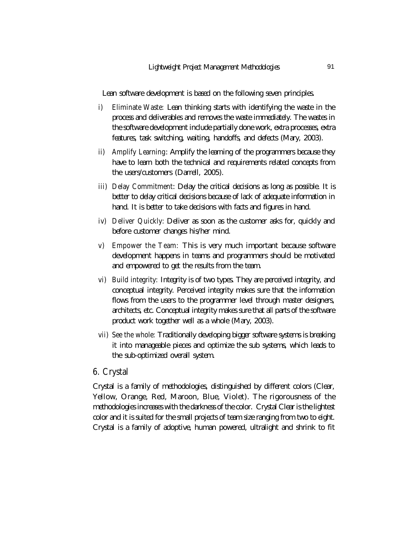Lean software development is based on the following seven principles.

- **i) Eliminate Waste:** Lean thinking starts with identifying the waste in the process and deliverables and removes the waste immediately. The wastes in the software development include partially done work, extra processes, extra features, task switching, waiting, handoffs, and defects (Mary, 2003).
- **ii) Amplify Learning**: Amplify the learning of the programmers because they have to learn both the technical and requirements related concepts from the users/customers (Darrell, 2005).
- **iii) Delay Commitment**: Delay the critical decisions as long as possible. It is better to delay critical decisions because of lack of adequate information in hand. It is better to take decisions with facts and figures in hand.
- **iv) Deliver Quickly:** Deliver as soon as the customer asks for, quickly and before customer changes his/her mind.
- **v) Empower the Team:** This is very much important because software development happens in teams and programmers should be motivated and empowered to get the results from the team.
- **vi) Build integrity:** Integrity is of two types. They are perceived integrity, and conceptual integrity. Perceived integrity makes sure that the information flows from the users to the programmer level through master designers, architects, etc. Conceptual integrity makes sure that all parts of the software product work together well as a whole (Mary, 2003).
- **vii)** See the whole: Traditionally developing bigger software systems is breaking it into manageable pieces and optimize the sub systems, which leads to the sub-optimized overall system.

#### **6. Crystal**

Crystal is a family of methodologies, distinguished by different colors (Clear, Yellow, Orange, Red, Maroon, Blue, Violet). The rigorousness of the methodologies increases with the darkness of the color. Crystal Clear is the lightest color and it is suited for the small projects of team size ranging from two to eight. Crystal is a family of adoptive, human powered, ultralight and shrink to fit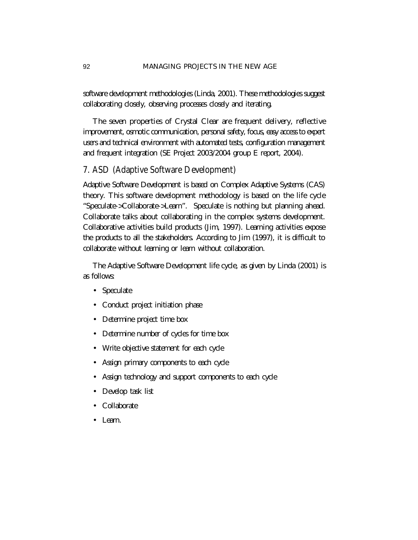software development methodologies (Linda, 2001). These methodologies suggest collaborating closely, observing processes closely and iterating.

The seven properties of Crystal Clear are frequent delivery, reflective improvement, osmotic communication, personal safety, focus, easy access to expert users and technical environment with automated tests, configuration management and frequent integration (SE Project 2003/2004 group E report, 2004).

# **7. ASD (Adaptive Software Development)**

Adaptive Software Development is based on Complex Adaptive Systems (CAS) theory. This software development methodology is based on the life cycle "Speculate->Collaborate->Learn". Speculate is nothing but planning ahead. Collaborate talks about collaborating in the complex systems development. Collaborative activities build products (Jim, 1997). Learning activities expose the products to all the stakeholders. According to Jim (1997), it is difficult to collaborate without learning or learn without collaboration.

The Adaptive Software Development life cycle, as given by Linda (2001) is as follows:

- Speculate
- Conduct project initiation phase
- Determine project time box
- Determine number of cycles for time box
- Write objective statement for each cycle
- Assign primary components to each cycle
- Assign technology and support components to each cycle
- Develop task list
- **Collaborate**
- Learn.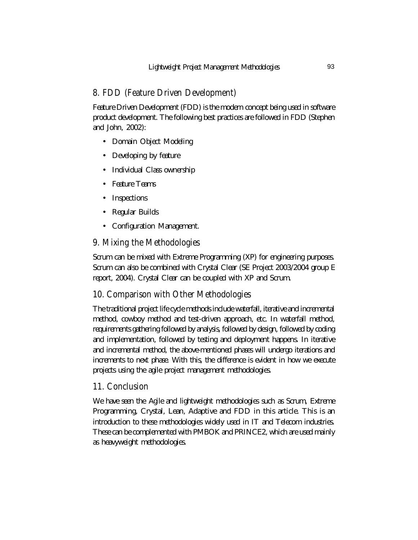# **8. FDD (Feature Driven Development)**

Feature Driven Development (FDD) is the modern concept being used in software product development. The following best practices are followed in FDD (Stephen and John, 2002):

- Domain Object Modeling
- Developing by feature
- Individual Class ownership
- Feature Teams
- **Inspections**
- Regular Builds
- Configuration Management.

#### **9. Mixing the Methodologies**

Scrum can be mixed with Extreme Programming (XP) for engineering purposes. Scrum can also be combined with Crystal Clear (SE Project 2003/2004 group E report, 2004). Crystal Clear can be coupled with XP and Scrum.

# **10. Comparison with Other Methodologies**

The traditional project life cycle methods include waterfall, iterative and incremental method, cowboy method and test-driven approach, etc. In waterfall method, requirements gathering followed by analysis, followed by design, followed by coding and implementation, followed by testing and deployment happens. In iterative and incremental method, the above-mentioned phases will undergo iterations and increments to next phase. With this, the difference is evident in how we execute projects using the agile project management methodologies.

#### **11. Conclusion**

We have seen the *Agile* and lightweight methodologies such as Scrum, Extreme Programming, Crystal, Lean, Adaptive and FDD in this article. This is an introduction to these methodologies widely used in IT and Telecom industries. These can be complemented with PMBOK and PRINCE2, which are used mainly as heavyweight methodologies.